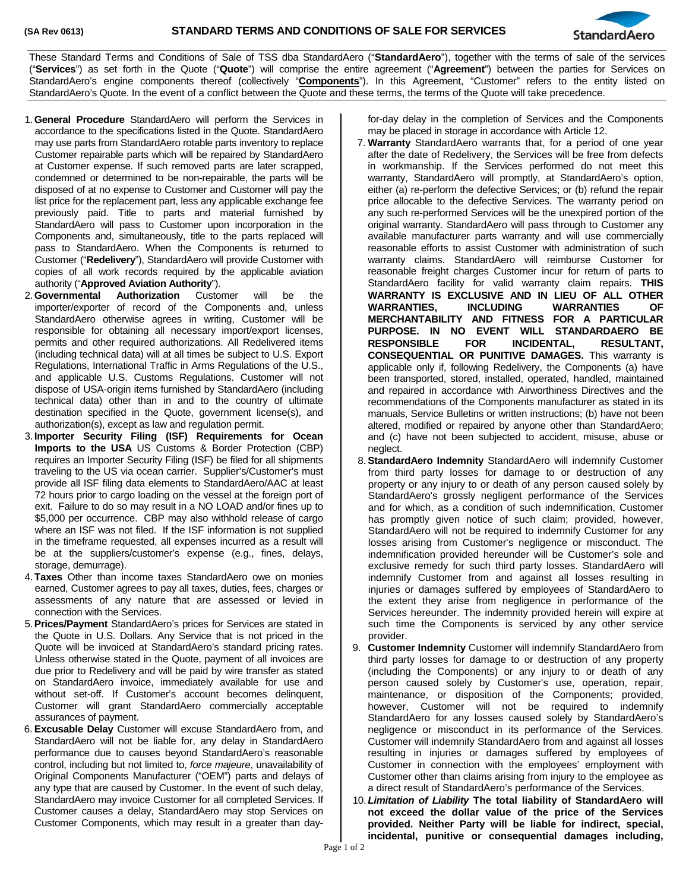

These Standard Terms and Conditions of Sale of TSS dba StandardAero ("**StandardAero**"), together with the terms of sale of the services ("**Services**") as set forth in the Quote ("**Quote**") will comprise the entire agreement ("**Agreement**") between the parties for Services on StandardAero's engine components thereof (collectively "**Components**"). In this Agreement, "Customer" refers to the entity listed on StandardAero's Quote. In the event of a conflict between the Quote and these terms, the terms of the Quote will take precedence.

- 1.**General Procedure** StandardAero will perform the Services in accordance to the specifications listed in the Quote. StandardAero may use parts from StandardAero rotable parts inventory to replace Customer repairable parts which will be repaired by StandardAero at Customer expense. If such removed parts are later scrapped, condemned or determined to be non-repairable, the parts will be disposed of at no expense to Customer and Customer will pay the list price for the replacement part, less any applicable exchange fee previously paid. Title to parts and material furnished by StandardAero will pass to Customer upon incorporation in the Components and, simultaneously, title to the parts replaced will pass to StandardAero. When the Components is returned to Customer ("**Redelivery**"), StandardAero will provide Customer with copies of all work records required by the applicable aviation authority ("**Approved Aviation Authority**").
- 2.**Governmental Authorization** Customer will be the importer/exporter of record of the Components and, unless StandardAero otherwise agrees in writing, Customer will be responsible for obtaining all necessary import/export licenses, permits and other required authorizations. All Redelivered items (including technical data) will at all times be subject to U.S. Export Regulations, International Traffic in Arms Regulations of the U.S., and applicable U.S. Customs Regulations. Customer will not dispose of USA-origin items furnished by StandardAero (including technical data) other than in and to the country of ultimate destination specified in the Quote, government license(s), and authorization(s), except as law and regulation permit.
- 3. **Importer Security Filing (ISF) Requirements for Ocean Imports to the USA** US Customs & Border Protection (CBP) requires an Importer Security Filing (ISF) be filed for all shipments traveling to the US via ocean carrier. Supplier's/Customer's must provide all ISF filing data elements to StandardAero/AAC at least 72 hours prior to cargo loading on the vessel at the foreign port of exit. Failure to do so may result in a NO LOAD and/or fines up to \$5,000 per occurrence. CBP may also withhold release of cargo where an ISF was not filed. If the ISF information is not supplied in the timeframe requested, all expenses incurred as a result will be at the suppliers/customer's expense (e.g., fines, delays, storage, demurrage).
- 4.**Taxes** Other than income taxes StandardAero owe on monies earned, Customer agrees to pay all taxes, duties, fees, charges or assessments of any nature that are assessed or levied in connection with the Services.
- 5.**Prices/Payment** StandardAero's prices for Services are stated in the Quote in U.S. Dollars. Any Service that is not priced in the Quote will be invoiced at StandardAero's standard pricing rates. Unless otherwise stated in the Quote, payment of all invoices are due prior to Redelivery and will be paid by wire transfer as stated on StandardAero invoice, immediately available for use and without set-off. If Customer's account becomes delinquent, Customer will grant StandardAero commercially acceptable assurances of payment.
- 6. **Excusable Delay** Customer will excuse StandardAero from, and StandardAero will not be liable for, any delay in StandardAero performance due to causes beyond StandardAero's reasonable control, including but not limited to, *force majeure*, unavailability of Original Components Manufacturer ("OEM") parts and delays of any type that are caused by Customer. In the event of such delay, StandardAero may invoice Customer for all completed Services. If Customer causes a delay, StandardAero may stop Services on Customer Components, which may result in a greater than day-

for-day delay in the completion of Services and the Components may be placed in storage in accordance with Article 12.

- 7. **Warranty** StandardAero warrants that, for a period of one year after the date of Redelivery, the Services will be free from defects in workmanship. If the Services performed do not meet this warranty, StandardAero will promptly, at StandardAero's option, either (a) re-perform the defective Services; or (b) refund the repair price allocable to the defective Services. The warranty period on any such re-performed Services will be the unexpired portion of the original warranty. StandardAero will pass through to Customer any available manufacturer parts warranty and will use commercially reasonable efforts to assist Customer with administration of such warranty claims. StandardAero will reimburse Customer for reasonable freight charges Customer incur for return of parts to StandardAero facility for valid warranty claim repairs. **THIS WARRANTY IS EXCLUSIVE AND IN LIEU OF ALL OTHER WARRANTIES, INCLUDING WARRANTIES OF MERCHANTABILITY AND FITNESS FOR A PARTICULAR PURPOSE. IN NO EVENT WILL STANDARDAERO BE RESPONSIBLE FOR INCIDENTAL, RESULTANT, CONSEQUENTIAL OR PUNITIVE DAMAGES.** This warranty is applicable only if, following Redelivery, the Components (a) have been transported, stored, installed, operated, handled, maintained and repaired in accordance with Airworthiness Directives and the recommendations of the Components manufacturer as stated in its manuals, Service Bulletins or written instructions; (b) have not been altered, modified or repaired by anyone other than StandardAero; and (c) have not been subjected to accident, misuse, abuse or neglect.
- 8.**StandardAero Indemnity** StandardAero will indemnify Customer from third party losses for damage to or destruction of any property or any injury to or death of any person caused solely by StandardAero's grossly negligent performance of the Services and for which, as a condition of such indemnification, Customer has promptly given notice of such claim; provided, however, StandardAero will not be required to indemnify Customer for any losses arising from Customer's negligence or misconduct. The indemnification provided hereunder will be Customer's sole and exclusive remedy for such third party losses. StandardAero will indemnify Customer from and against all losses resulting in injuries or damages suffered by employees of StandardAero to the extent they arise from negligence in performance of the Services hereunder. The indemnity provided herein will expire at such time the Components is serviced by any other service provider.
- 9. **Customer Indemnity** Customer will indemnify StandardAero from third party losses for damage to or destruction of any property (including the Components) or any injury to or death of any person caused solely by Customer's use, operation, repair, maintenance, or disposition of the Components; provided, however, Customer will not be required to indemnify StandardAero for any losses caused solely by StandardAero's negligence or misconduct in its performance of the Services. Customer will indemnify StandardAero from and against all losses resulting in injuries or damages suffered by employees of Customer in connection with the employees' employment with Customer other than claims arising from injury to the employee as a direct result of StandardAero's performance of the Services.
- 10.*Limitation of Liability* **The total liability of StandardAero will not exceed the dollar value of the price of the Services provided. Neither Party will be liable for indirect, special, incidental, punitive or consequential damages including,**